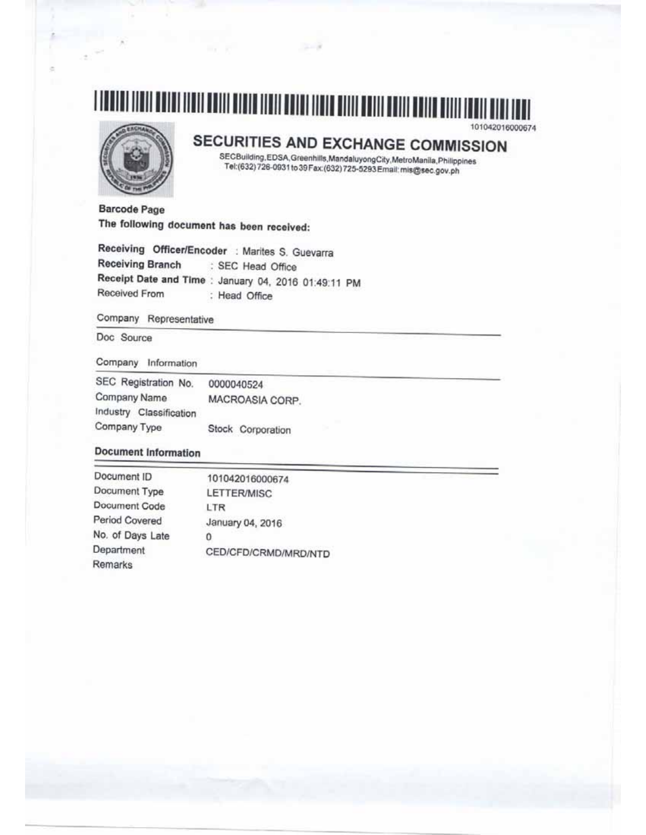# 

 $-200$ 

# SECURITIES AND EXCHANGE COMMISSION

101042016000674

SECBuilding, EDSA, Greenhills, Mandaluyong City, MetroManila, Philippines Tel:(632) 726-0931 to 39 Fax:(632) 725-5293 Email: mis@sec.gov.ph

**Barcode Page** The following document has been received:

Receiving Officer/Encoder : Marites S. Guevarra **Receiving Branch** : SEC Head Office Receipt Date and Time : January 04, 2016 01:49:11 PM Received From : Head Office

Company Representative

Doc Source

Company Information

| SEC Registration No.    | 0000040524        |
|-------------------------|-------------------|
| Company Name            | MACROASIA CORP.   |
| Industry Classification |                   |
| Company Type            | Stock Corporation |

# **Document Information**

| Document ID      | 101042016000674      |
|------------------|----------------------|
| Document Type    | LETTER/MISC          |
| Document Code    | LTR                  |
| Period Covered   | January 04, 2016     |
| No. of Days Late | 0                    |
| Department       | CED/CFD/CRMD/MRD/NTD |
| Remarks          |                      |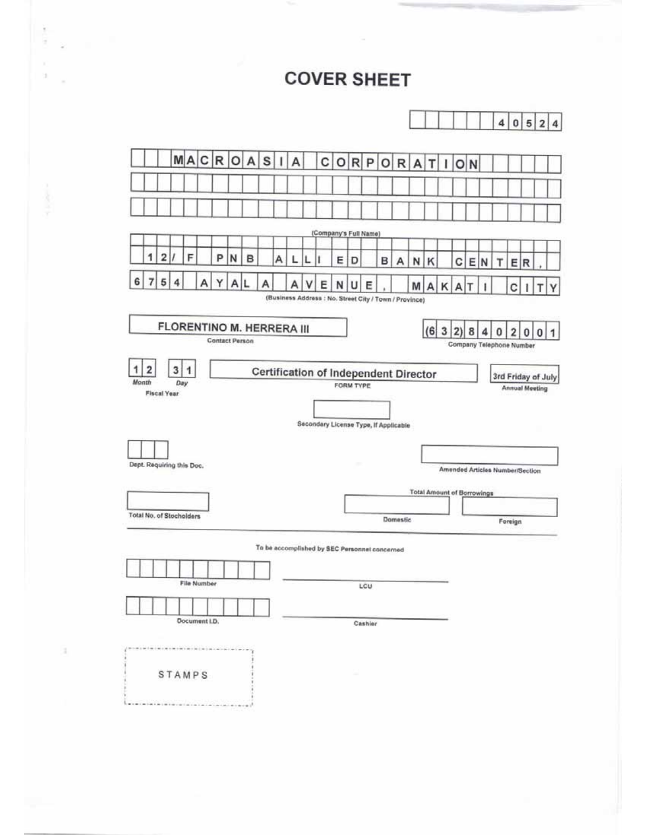# **COVER SHEET**

|   |   |                |                           |   |               |                           |              |   |   |   |   |   |                                                       |   |   |         |   |          |                                   |               |   |              |   |     | 4                               | $\pmb{0}$ | 5   | 2        | 4 |
|---|---|----------------|---------------------------|---|---------------|---------------------------|--------------|---|---|---|---|---|-------------------------------------------------------|---|---|---------|---|----------|-----------------------------------|---------------|---|--------------|---|-----|---------------------------------|-----------|-----|----------|---|
|   |   |                |                           |   |               | MA C R O A S              |              |   |   |   | A |   | С                                                     | о |   | $R$ $P$ |   | O R      | A                                 | т             |   | o            | N |     |                                 |           |     |          |   |
|   |   |                |                           |   |               |                           |              |   |   |   |   |   |                                                       |   |   |         |   |          |                                   |               |   |              |   |     |                                 |           |     |          |   |
|   |   |                |                           |   |               |                           |              |   |   |   |   |   |                                                       |   |   |         |   |          |                                   |               |   |              |   |     |                                 |           |     |          |   |
|   |   |                |                           |   |               |                           |              |   |   |   |   |   | (Company's Full Name)                                 |   |   |         |   |          |                                   |               |   |              |   |     |                                 |           |     |          |   |
|   | 1 | $\overline{2}$ |                           | F |               | P                         | N            | B |   | А | L | L |                                                       | E | D |         | в | A        | N                                 | К             |   | С            | E | IN. | т                               |           | E R |          |   |
| 6 | 7 | 5              | 4                         |   | А             | Y                         | $\mathsf{A}$ | L | Α |   |   |   | Ε                                                     | N | U | E       |   |          | M                                 | $\mathsf{A}$  | κ | $\mathsf{A}$ | τ |     |                                 | с         |     |          |   |
|   |   |                |                           |   |               |                           |              |   |   |   |   |   | (Business Address: No. Street City / Town / Province) |   |   |         |   |          |                                   |               |   |              |   |     |                                 |           |     |          |   |
|   |   |                |                           |   |               | FLORENTINO M. HERRERA III |              |   |   |   |   |   |                                                       |   |   |         |   |          |                                   | $(6 \ 3 \ 2)$ |   |              | 8 | 4   | o                               | 2         | 0   | $\bf{0}$ |   |
|   |   |                |                           |   |               | <b>Contact Person</b>     |              |   |   |   |   |   |                                                       |   |   |         |   |          |                                   |               |   |              |   |     | Company Telephone Number        |           |     |          |   |
|   |   |                | Dept. Requiring this Doc. |   |               |                           |              |   |   |   |   |   | Secondary License Type, If Applicable                 |   |   |         |   |          | <b>Total Amount of Borrowings</b> |               |   |              |   |     | Amended Articles Number/Section |           |     |          |   |
|   |   |                | Total No. of Stocholders  |   |               |                           |              |   |   |   |   |   |                                                       |   |   |         |   |          |                                   |               |   |              |   |     |                                 |           |     |          |   |
|   |   |                |                           |   |               |                           |              |   |   |   |   |   |                                                       |   |   |         |   | Domestic |                                   |               |   |              |   |     |                                 | Foreign   |     |          |   |
|   |   |                |                           |   |               |                           |              |   |   |   |   |   | To be accomplished by SEC Personnel concerned         |   |   |         |   |          |                                   |               |   |              |   |     |                                 |           |     |          |   |
|   |   |                |                           |   |               |                           |              |   |   |   |   |   |                                                       |   |   |         |   |          |                                   |               |   |              |   |     |                                 |           |     |          |   |
|   |   |                |                           |   | File Number   |                           |              |   |   |   |   |   |                                                       |   |   | LCU     |   |          |                                   |               |   |              |   |     |                                 |           |     |          |   |
|   |   |                |                           |   | Document I.D. |                           |              |   |   |   |   |   |                                                       |   |   |         |   |          |                                   |               |   |              |   |     |                                 |           |     |          |   |
|   |   |                |                           |   |               |                           |              |   |   |   |   |   |                                                       |   |   | Cashier |   |          |                                   |               |   |              |   |     |                                 |           |     |          |   |

ä,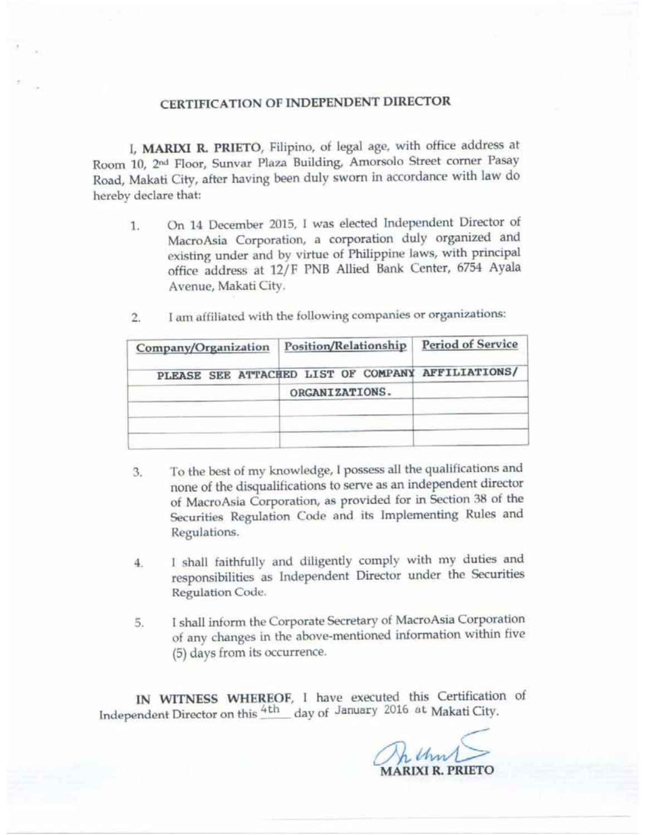# CERTIFICATION OF INDEPENDENT DIRECTOR

I, MARIXI R. PRIETO, Filipino, of legal age, with office address at Room 10, 2<sup>nd</sup> Floor, Sunvar Plaza Building, Amorsolo Street corner Pasay Road, Makati City, after having been duly sworn in accordance with law do hereby declare that:

On 14 December 2015, I was elected Independent Director of 1. MacroAsia Corporation, a corporation duly organized and existing under and by virtue of Philippine laws, with principal office address at 12/F PNB Allied Bank Center, 6754 Ayala Avenue, Makati City.

| Company/Organization | Position/Relationship                             | <b>Period of Service</b> |  |  |
|----------------------|---------------------------------------------------|--------------------------|--|--|
|                      | PLEASE SEE ATTACHED LIST OF COMPANY AFFILIATIONS/ |                          |  |  |
|                      | ORGANIZATIONS.                                    |                          |  |  |
|                      |                                                   |                          |  |  |
|                      |                                                   |                          |  |  |

I am affiliated with the following companies or organizations:  $\overline{2}$ 

- To the best of my knowledge, I possess all the qualifications and 3. none of the disqualifications to serve as an independent director of MacroAsia Corporation, as provided for in Section 38 of the Securities Regulation Code and its Implementing Rules and Regulations.
- I shall faithfully and diligently comply with my duties and  $4.$ responsibilities as Independent Director under the Securities Regulation Code.
- I shall inform the Corporate Secretary of MacroAsia Corporation 5. of any changes in the above-mentioned information within five (5) days from its occurrence.

IN WITNESS WHEREOF, I have executed this Certification of Independent Director on this 4th day of January 2016 at Makati City.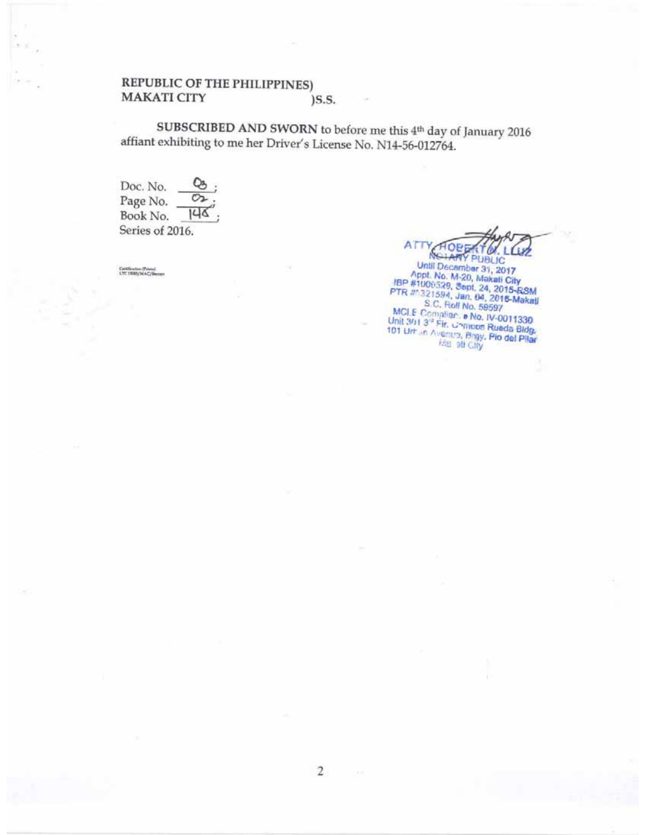#### REPUBLIC OF THE PHILIPPINES) **MAKATI CITY**  $)$ S.S.

SUBSCRIBED AND SWORN to before me this 4th day of January 2016 affiant exhibiting to me her Driver's License No. N14-56-012764.

Doc. No. Page No. o  $146$ Book No. Series of 2016.

Certification (Prints)<br>LTC 1593/MAC/Benzer

ATT NOTAR

NGTARY PUBLIC<br>Until December 31, 2017<br>Appt. No. M-20, Makait City<br>IBP #1009539, Sept. 24, 2015-RSM<br>PTR #1321594, Jan. 04, 2016-RSM<br>S.C. Roll No. 59597<br>MCLE Complian: a No. IV-0011330<br>Unit 3/113<sup>31</sup> Fin. Grandes Rueda Bidg.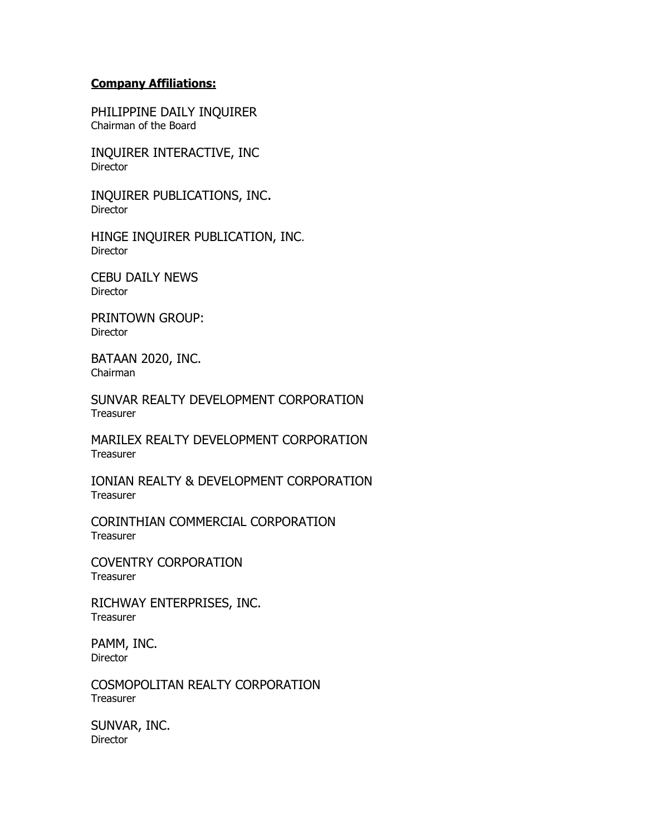# **Company Affiliations:**

PHILIPPINE DAILY INQUIRER Chairman of the Board

INQUIRER INTERACTIVE, INC Director

INQUIRER PUBLICATIONS, INC. Director

HINGE INQUIRER PUBLICATION, INC. **Director** 

CEBU DAILY NEWS Director

PRINTOWN GROUP: **Director** 

BATAAN 2020, INC. Chairman

SUNVAR REALTY DEVELOPMENT CORPORATION **Treasurer** 

MARILEX REALTY DEVELOPMENT CORPORATION Treasurer

IONIAN REALTY & DEVELOPMENT CORPORATION **Treasurer** 

CORINTHIAN COMMERCIAL CORPORATION **Treasurer** 

COVENTRY CORPORATION **Treasurer** 

RICHWAY ENTERPRISES, INC. **Treasurer** 

PAMM, INC. **Director** 

COSMOPOLITAN REALTY CORPORATION **Treasurer** 

SUNVAR, INC. **Director**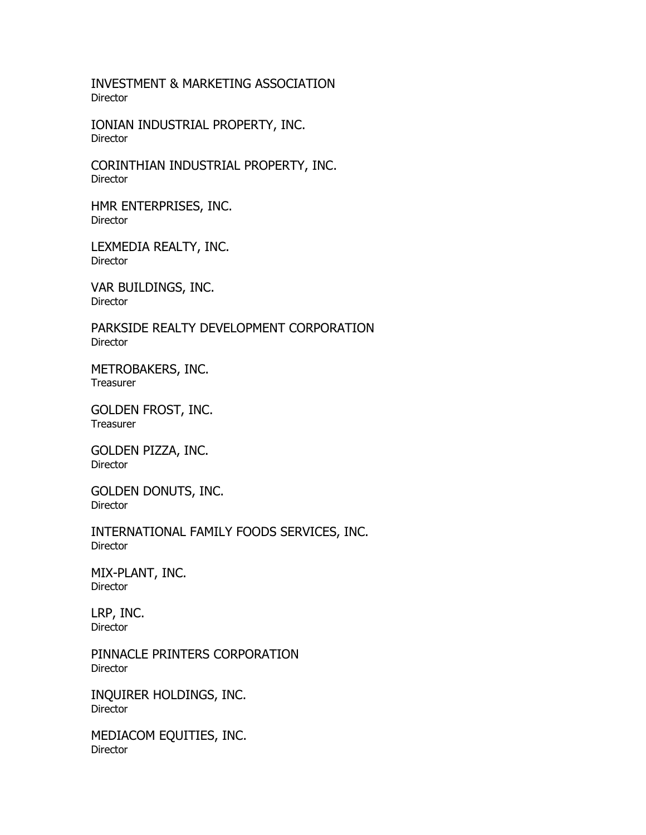INVESTMENT & MARKETING ASSOCIATION **Director** 

IONIAN INDUSTRIAL PROPERTY, INC. Director

CORINTHIAN INDUSTRIAL PROPERTY, INC. Director

HMR ENTERPRISES, INC. Director

LEXMEDIA REALTY, INC. Director

VAR BUILDINGS, INC. **Director** 

PARKSIDE REALTY DEVELOPMENT CORPORATION Director

METROBAKERS, INC. **Treasurer** 

GOLDEN FROST, INC. **Treasurer** 

GOLDEN PIZZA, INC. Director

GOLDEN DONUTS, INC. Director

INTERNATIONAL FAMILY FOODS SERVICES, INC. Director

MIX-PLANT, INC. Director

LRP, INC. Director

PINNACLE PRINTERS CORPORATION Director

INQUIRER HOLDINGS, INC. Director

MEDIACOM EQUITIES, INC. Director